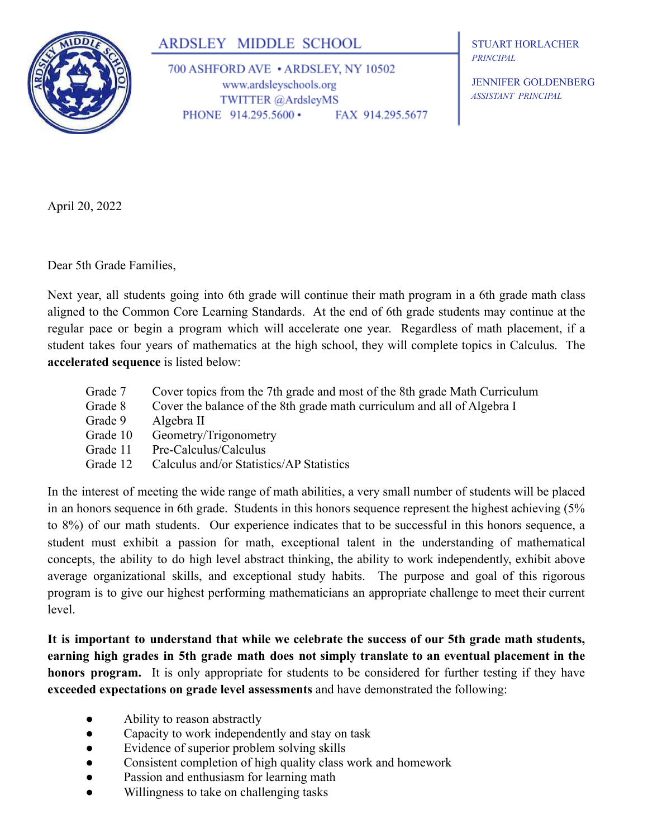

## ARDSLEY MIDDLE SCHOOL

700 ASHFORD AVE • ARDSLEY, NY 10502 www.ardsleyschools.org TWITTER @ArdsleyMS PHONE 914.295.5600 • FAX 914.295.5677

STUART HORLACHER *PRINCIPAL*

JENNIFER GOLDENBERG *ASSISTANT PRINCIPAL*

April 20, 2022

Dear 5th Grade Families,

Next year, all students going into 6th grade will continue their math program in a 6th grade math class aligned to the Common Core Learning Standards. At the end of 6th grade students may continue at the regular pace or begin a program which will accelerate one year. Regardless of math placement, if a student takes four years of mathematics at the high school, they will complete topics in Calculus. The **accelerated sequence** is listed below:

| Grade 7  | Cover topics from the 7th grade and most of the 8th grade Math Curriculum |
|----------|---------------------------------------------------------------------------|
| Grade 8  | Cover the balance of the 8th grade math curriculum and all of Algebra I   |
| Grade 9  | Algebra II                                                                |
| Grade 10 | Geometry/Trigonometry                                                     |
| Grade 11 | Pre-Calculus/Calculus                                                     |
| Grade 12 | Calculus and/or Statistics/AP Statistics                                  |

In the interest of meeting the wide range of math abilities, a very small number of students will be placed in an honors sequence in 6th grade. Students in this honors sequence represent the highest achieving (5% to 8%) of our math students. Our experience indicates that to be successful in this honors sequence, a student must exhibit a passion for math, exceptional talent in the understanding of mathematical concepts, the ability to do high level abstract thinking, the ability to work independently, exhibit above average organizational skills, and exceptional study habits. The purpose and goal of this rigorous program is to give our highest performing mathematicians an appropriate challenge to meet their current level.

**It is important to understand that while we celebrate the success of our 5th grade math students, earning high grades in 5th grade math does not simply translate to an eventual placement in the honors program.** It is only appropriate for students to be considered for further testing if they have **exceeded expectations on grade level assessments** and have demonstrated the following:

- Ability to reason abstractly
- Capacity to work independently and stay on task
- Evidence of superior problem solving skills
- Consistent completion of high quality class work and homework
- Passion and enthusiasm for learning math
- Willingness to take on challenging tasks